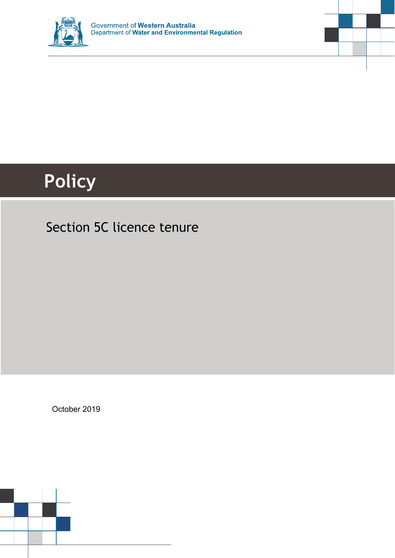



# **Policy**

## Section 5C licence tenure

October 2019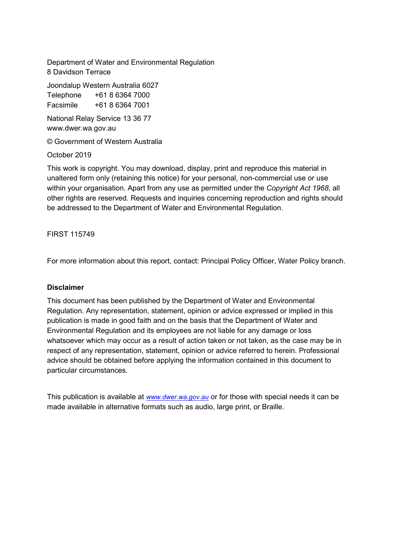Department of Water and Environmental Regulation 8 Davidson Terrace

Joondalup Western Australia 6027 Telephone +61 8 6364 7000

Facsimile +61 8 6364 7001

National Relay Service 13 36 77 www.dwer.wa.gov.au

© Government of Western Australia

October 2019

This work is copyright. You may download, display, print and reproduce this material in unaltered form only (retaining this notice) for your personal, non-commercial use or use within your organisation. Apart from any use as permitted under the *Copyright Act 1968*, all other rights are reserved. Requests and inquiries concerning reproduction and rights should be addressed to the Department of Water and Environmental Regulation.

FIRST 115749

For more information about this report, contact: Principal Policy Officer, Water Policy branch.

#### **Disclaimer**

This document has been published by the Department of Water and Environmental Regulation. Any representation, statement, opinion or advice expressed or implied in this publication is made in good faith and on the basis that the Department of Water and Environmental Regulation and its employees are not liable for any damage or loss whatsoever which may occur as a result of action taken or not taken, as the case may be in respect of any representation, statement, opinion or advice referred to herein. Professional advice should be obtained before applying the information contained in this document to particular circumstances.

This publication is available at *[www.dwer.wa.gov.au](http://www.dwer.wa.gov.au/)* or for those with special needs it can be made available in alternative formats such as audio, large print, or Braille.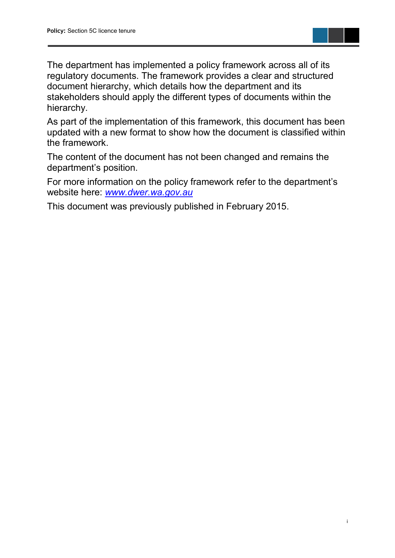

The department has implemented a policy framework across all of its regulatory documents. The framework provides a clear and structured document hierarchy, which details how the department and its stakeholders should apply the different types of documents within the hierarchy.

As part of the implementation of this framework, this document has been updated with a new format to show how the document is classified within the framework.

The content of the document has not been changed and remains the department's position.

For more information on the policy framework refer to the department's website here: *[www.dwer.wa.gov.au](https://dwer.wa.gov.au/)*

This document was previously published in February 2015.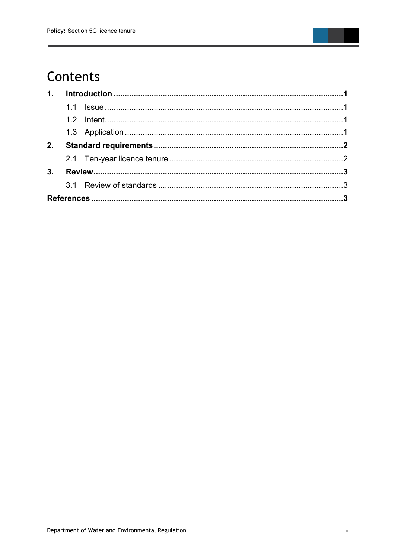

## Contents

| 2. |  |  |  |
|----|--|--|--|
|    |  |  |  |
|    |  |  |  |
|    |  |  |  |
|    |  |  |  |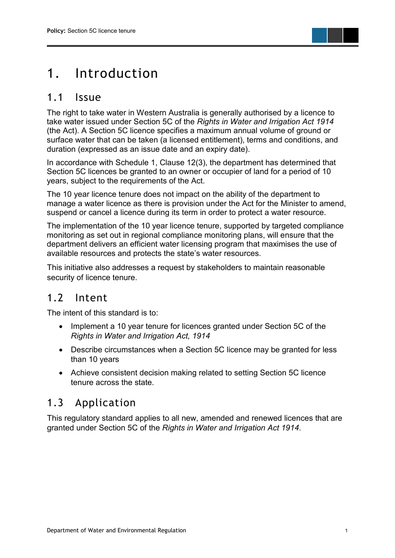## <span id="page-4-0"></span>1. Introduction

#### <span id="page-4-1"></span>1.1 Issue

The right to take water in Western Australia is generally authorised by a licence to take water issued under Section 5C of the *Rights in Water and Irrigation Act 1914* (the Act). A Section 5C licence specifies a maximum annual volume of ground or surface water that can be taken (a licensed entitlement), terms and conditions, and duration (expressed as an issue date and an expiry date).

In accordance with Schedule 1, Clause 12(3), the department has determined that Section 5C licences be granted to an owner or occupier of land for a period of 10 years, subject to the requirements of the Act.

The 10 year licence tenure does not impact on the ability of the department to manage a water licence as there is provision under the Act for the Minister to amend, suspend or cancel a licence during its term in order to protect a water resource.

The implementation of the 10 year licence tenure, supported by targeted compliance monitoring as set out in regional compliance monitoring plans, will ensure that the department delivers an efficient water licensing program that maximises the use of available resources and protects the state's water resources.

This initiative also addresses a request by stakeholders to maintain reasonable security of licence tenure.

#### <span id="page-4-2"></span>1.2 Intent

The intent of this standard is to:

- Implement a 10 year tenure for licences granted under Section 5C of the *Rights in Water and Irrigation Act, 1914*
- Describe circumstances when a Section 5C licence may be granted for less than 10 years
- Achieve consistent decision making related to setting Section 5C licence tenure across the state.

#### <span id="page-4-3"></span>1.3 Application

This regulatory standard applies to all new, amended and renewed licences that are granted under Section 5C of the *Rights in Water and Irrigation Act 1914*.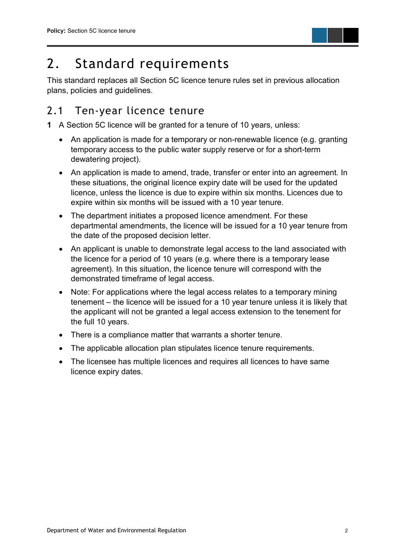

## <span id="page-5-0"></span>2. Standard requirements

This standard replaces all Section 5C licence tenure rules set in previous allocation plans, policies and guidelines.

#### <span id="page-5-1"></span>2.1 Ten-year licence tenure

**1** A Section 5C licence will be granted for a tenure of 10 years, unless:

- An application is made for a temporary or non-renewable licence (e.g. granting temporary access to the public water supply reserve or for a short-term dewatering project).
- An application is made to amend, trade, transfer or enter into an agreement. In these situations, the original licence expiry date will be used for the updated licence, unless the licence is due to expire within six months. Licences due to expire within six months will be issued with a 10 year tenure.
- The department initiates a proposed licence amendment. For these departmental amendments, the licence will be issued for a 10 year tenure from the date of the proposed decision letter.
- An applicant is unable to demonstrate legal access to the land associated with the licence for a period of 10 years (e.g. where there is a temporary lease agreement). In this situation, the licence tenure will correspond with the demonstrated timeframe of legal access.
- Note: For applications where the legal access relates to a temporary mining tenement – the licence will be issued for a 10 year tenure unless it is likely that the applicant will not be granted a legal access extension to the tenement for the full 10 years.
- There is a compliance matter that warrants a shorter tenure.
- The applicable allocation plan stipulates licence tenure requirements.
- The licensee has multiple licences and requires all licences to have same licence expiry dates.